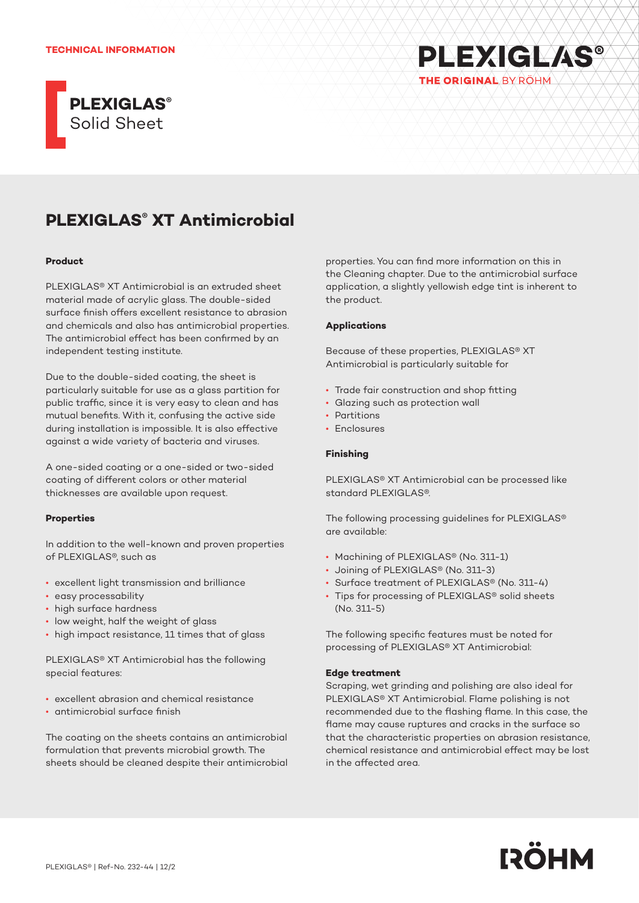#### **TECHNICAL INFORMATION**



# **PLEXIGLAS® XT Antimicrobial**

#### **Product**

PLEXIGLAS® XT Antimicrobial is an extruded sheet material made of acrylic glass. The double-sided surface finish offers excellent resistance to abrasion and chemicals and also has antimicrobial properties. The antimicrobial effect has been confirmed by an independent testing institute.

Due to the double-sided coating, the sheet is particularly suitable for use as a glass partition for public traffic, since it is very easy to clean and has mutual benefits. With it, confusing the active side during installation is impossible. It is also effective against a wide variety of bacteria and viruses.

A one-sided coating or a one-sided or two-sided coating of different colors or other material thicknesses are available upon request.

### **Properties**

In addition to the well-known and proven properties of PLEXIGLAS®, such as

- excellent light transmission and brilliance
- easy processability
- high surface hardness
- low weight, half the weight of glass
- high impact resistance, 11 times that of glass

PLEXIGLAS® XT Antimicrobial has the following special features:

- excellent abrasion and chemical resistance
- antimicrobial surface finish

The coating on the sheets contains an antimicrobial formulation that prevents microbial growth. The sheets should be cleaned despite their antimicrobial properties. You can find more information on this in the Cleaning chapter. Due to the antimicrobial surface application, a slightly yellowish edge tint is inherent to the product.

**PLEXIGLAS®** 

THE ORIGINAL BY ROHM

## **Applications**

Because of these properties, PLEXIGLAS® XT Antimicrobial is particularly suitable for

- Trade fair construction and shop fitting
- Glazing such as protection wall
- **Partitions**
- Enclosures

### **Finishing**

PLEXIGLAS® XT Antimicrobial can be processed like standard PLEXIGLAS®.

The following processing guidelines for PLEXIGLAS® are available:

- Machining of PLEXIGLAS® (No. 311-1)
- Joining of PLEXIGLAS® (No. 311-3)
- Surface treatment of PLEXIGLAS® (No. 311-4)
- Tips for processing of PLEXIGLAS® solid sheets (No. 311-5)

The following specific features must be noted for processing of PLEXIGLAS® XT Antimicrobial:

### **Edge treatment**

Scraping, wet grinding and polishing are also ideal for PLEXIGLAS® XT Antimicrobial. Flame polishing is not recommended due to the flashing flame. In this case, the flame may cause ruptures and cracks in the surface so that the characteristic properties on abrasion resistance, chemical resistance and antimicrobial effect may be lost in the affected area.

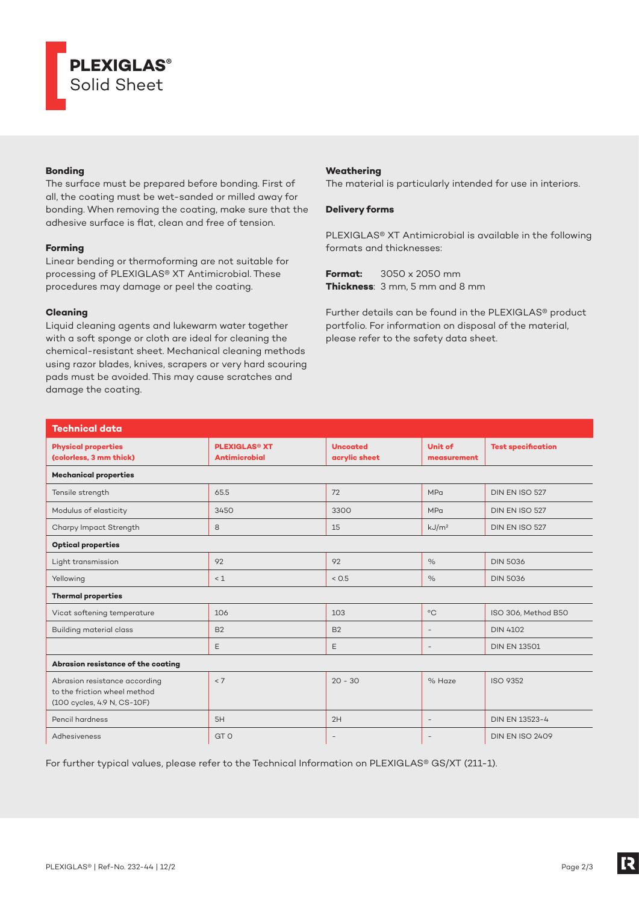

# **Bonding**

The surface must be prepared before bonding. First of all, the coating must be wet-sanded or milled away for bonding. When removing the coating, make sure that the adhesive surface is flat, clean and free of tension.

## **Forming**

Linear bending or thermoforming are not suitable for processing of PLEXIGLAS® XT Antimicrobial. These procedures may damage or peel the coating.

# **Cleaning**

Liquid cleaning agents and lukewarm water together with a soft sponge or cloth are ideal for cleaning the chemical-resistant sheet. Mechanical cleaning methods using razor blades, knives, scrapers or very hard scouring pads must be avoided. This may cause scratches and damage the coating.

# **Weathering**

The material is particularly intended for use in interiors.

## **Delivery forms**

PLEXIGLAS® XT Antimicrobial is available in the following formats and thicknesses:

**Format:** 3050 x 2050 mm **Thickness**: 3 mm, 5 mm and 8 mm

Further details can be found in the PLEXIGLAS® product portfolio. For information on disposal of the material, please refer to the safety data sheet.

| <b>Technical data</b>                                                                        |                                                         |                                  |                          |                           |
|----------------------------------------------------------------------------------------------|---------------------------------------------------------|----------------------------------|--------------------------|---------------------------|
| <b>Physical properties</b><br>(colorless, 3 mm thick)                                        | <b>PLEXIGLAS<sup>®</sup> XT</b><br><b>Antimicrobial</b> | <b>Uncoated</b><br>acrylic sheet | Unit of<br>measurement   | <b>Test specification</b> |
| <b>Mechanical properties</b>                                                                 |                                                         |                                  |                          |                           |
| Tensile strength                                                                             | 65.5                                                    | 72                               | <b>MPa</b>               | DIN EN ISO 527            |
| Modulus of elasticity                                                                        | 3450                                                    | 3300                             | <b>MPa</b>               | DIN EN ISO 527            |
| Charpy Impact Strength                                                                       | 8                                                       | 15                               | kJ/m <sup>2</sup>        | DIN EN ISO 527            |
| <b>Optical properties</b>                                                                    |                                                         |                                  |                          |                           |
| Light transmission                                                                           | 92                                                      | 92                               | $\%$                     | <b>DIN 5036</b>           |
| Yellowing                                                                                    | $\leq 1$                                                | < 0.5                            | $\%$                     | <b>DIN 5036</b>           |
| <b>Thermal properties</b>                                                                    |                                                         |                                  |                          |                           |
| Vicat softening temperature                                                                  | 106                                                     | 103                              | $^{\circ}$ C             | ISO 306, Method B50       |
| <b>Building material class</b>                                                               | <b>B2</b>                                               | <b>B2</b>                        | $\overline{\phantom{a}}$ | <b>DIN 4102</b>           |
|                                                                                              | E                                                       | E                                | $\overline{\phantom{a}}$ | <b>DIN EN 13501</b>       |
| Abrasion resistance of the coating                                                           |                                                         |                                  |                          |                           |
| Abrasion resistance according<br>to the friction wheel method<br>(100 cycles, 4.9 N, CS-10F) | < 7                                                     | $20 - 30$                        | % Haze                   | <b>ISO 9352</b>           |
| Pencil hardness                                                                              | 5H                                                      | 2H                               | $\overline{\phantom{a}}$ | <b>DIN EN 13523-4</b>     |
| Adhesiveness                                                                                 | GT <sub>O</sub>                                         | $\overline{\phantom{a}}$         | $\overline{\phantom{m}}$ | <b>DIN EN ISO 2409</b>    |

For further typical values, please refer to the Technical Information on PLEXIGLAS® GS/XT (211-1).